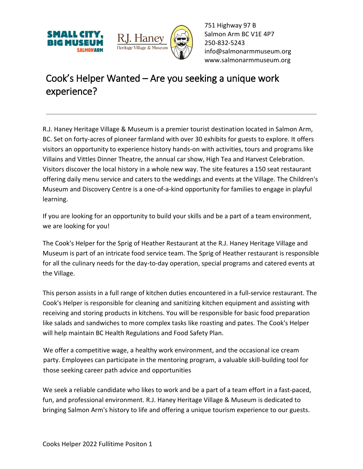



751 Highway 97 B Salmon Arm BC V1E 4P7 250-832-5243 [info@salmonarmmuseum.org](mailto:info@salmonarmmuseum.org) www.salmonarmmuseum.org

## Cook's Helper Wanted – Are you seeking a unique work experience?

R.J. Haney Heritage Village & Museum is a premier tourist destination located in Salmon Arm, BC. Set on forty-acres of pioneer farmland with over 30 exhibits for guests to explore. It offers visitors an opportunity to experience history hands-on with activities, tours and programs like Villains and Vittles Dinner Theatre, the annual car show, High Tea and Harvest Celebration. Visitors discover the local history in a whole new way. The site features a 150 seat restaurant offering daily menu service and caters to the weddings and events at the Village. The Children's Museum and Discovery Centre is a one-of-a-kind opportunity for families to engage in playful learning.

If you are looking for an opportunity to build your skills and be a part of a team environment, we are looking for you!

The Cook's Helper for the Sprig of Heather Restaurant at the R.J. Haney Heritage Village and Museum is part of an intricate food service team. The Sprig of Heather restaurant is responsible for all the culinary needs for the day-to-day operation, special programs and catered events at the Village.

This person assists in a full range of kitchen duties encountered in a full-service restaurant. The Cook's Helper is responsible for cleaning and sanitizing kitchen equipment and assisting with receiving and storing products in kitchens. You will be responsible for basic food preparation like salads and sandwiches to more complex tasks like roasting and pates. The Cook's Helper will help maintain BC Health Regulations and Food Safety Plan.

We offer a competitive wage, a healthy work environment, and the occasional ice cream party. Employees can participate in the mentoring program, a valuable skill-building tool for those seeking career path advice and opportunities

We seek a reliable candidate who likes to work and be a part of a team effort in a fast-paced, fun, and professional environment. R.J. Haney Heritage Village & Museum is dedicated to bringing Salmon Arm's history to life and offering a unique tourism experience to our guests.